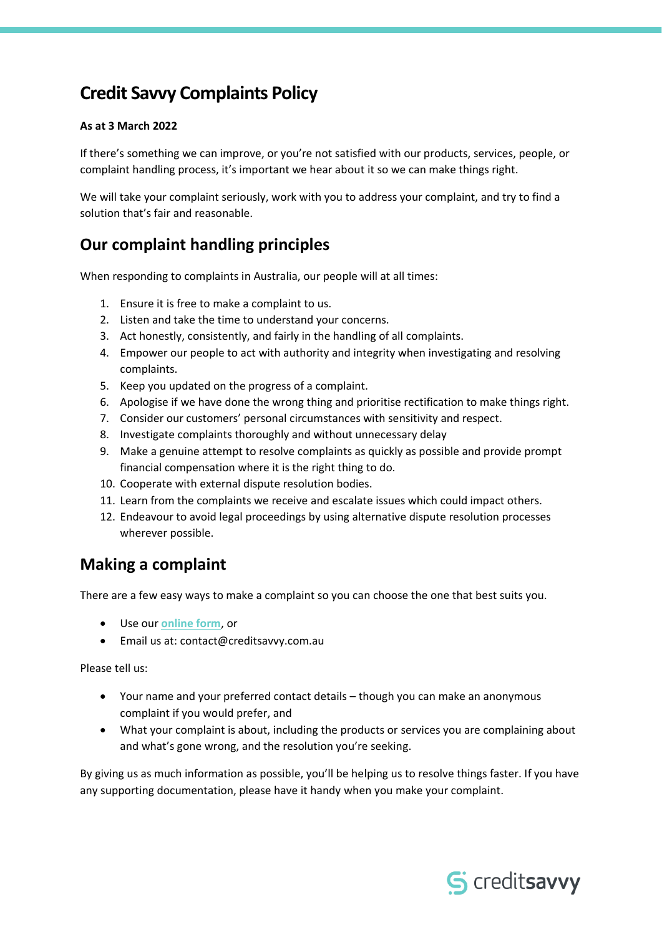# **Credit Savvy Complaints Policy**

#### **As at 3 March 2022**

If there's something we can improve, or you're not satisfied with our products, services, people, or complaint handling process, it's important we hear about it so we can make things right.

We will take your complaint seriously, work with you to address your complaint, and try to find a solution that's fair and reasonable.

### **Our complaint handling principles**

When responding to complaints in Australia, our people will at all times:

- 1. Ensure it is free to make a complaint to us.
- 2. Listen and take the time to understand your concerns.
- 3. Act honestly, consistently, and fairly in the handling of all complaints.
- 4. Empower our people to act with authority and integrity when investigating and resolving complaints.
- 5. Keep you updated on the progress of a complaint.
- 6. Apologise if we have done the wrong thing and prioritise rectification to make things right.
- 7. Consider our customers' personal circumstances with sensitivity and respect.
- 8. Investigate complaints thoroughly and without unnecessary delay
- 9. Make a genuine attempt to resolve complaints as quickly as possible and provide prompt financial compensation where it is the right thing to do.
- 10. Cooperate with external dispute resolution bodies.
- 11. Learn from the complaints we receive and escalate issues which could impact others.
- 12. Endeavour to avoid legal proceedings by using alternative dispute resolution processes wherever possible.

### **Making a complaint**

There are a few easy ways to make a complaint so you can choose the one that best suits you.

- Use our **[online form](https://www.creditsavvy.com.au/help/complaints)**, or
- Email us at: contact@creditsavvy.com.au

Please tell us:

- Your name and your preferred contact details though you can make an anonymous complaint if you would prefer, and
- What your complaint is about, including the products or services you are complaining about and what's gone wrong, and the resolution you're seeking.

By giving us as much information as possible, you'll be helping us to resolve things faster. If you have any supporting documentation, please have it handy when you make your complaint.

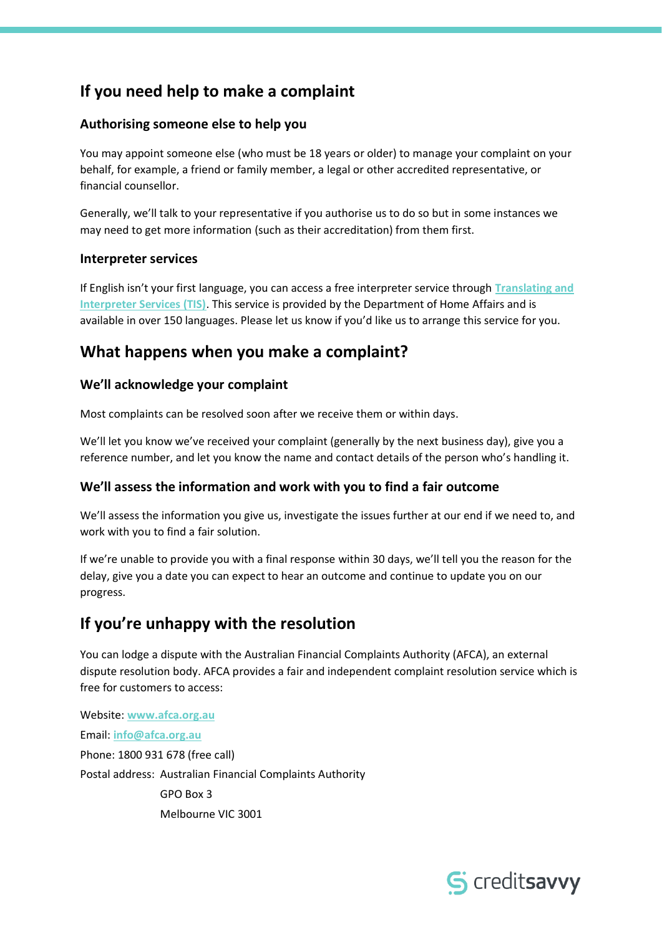## **If you need help to make a complaint**

#### **Authorising someone else to help you**

You may appoint someone else (who must be 18 years or older) to manage your complaint on your behalf, for example, a friend or family member, a legal or other accredited representative, or financial counsellor.

Generally, we'll talk to your representative if you authorise us to do so but in some instances we may need to get more information (such as their accreditation) from them first.

#### **Interpreter services**

If English isn't your first language, you can access a free interpreter service through **[Translating and](https://www.tisnational.gov.au/)  [Interpreter Services \(TIS\)](https://www.tisnational.gov.au/)**. This service is provided by the Department of Home Affairs and is available in over 150 languages. Please let us know if you'd like us to arrange this service for you.

### **What happens when you make a complaint?**

#### **We'll acknowledge your complaint**

Most complaints can be resolved soon after we receive them or within days.

We'll let you know we've received your complaint (generally by the next business day), give you a reference number, and let you know the name and contact details of the person who's handling it.

#### **We'll assess the information and work with you to find a fair outcome**

We'll assess the information you give us, investigate the issues further at our end if we need to, and work with you to find a fair solution.

If we're unable to provide you with a final response within 30 days, we'll tell you the reason for the delay, give you a date you can expect to hear an outcome and continue to update you on our progress.

## **If you're unhappy with the resolution**

You can lodge a dispute with the Australian Financial Complaints Authority (AFCA), an external dispute resolution body. AFCA provides a fair and independent complaint resolution service which is free for customers to access:

Website: **[www.afca.org.au](http://www.afca.org.au/)** Email: **[info@afca.org.au](mailto:info@afca.org.au)** Phone: 1800 931 678 (free call) Postal address: Australian Financial Complaints Authority GPO Box 3 Melbourne VIC 3001